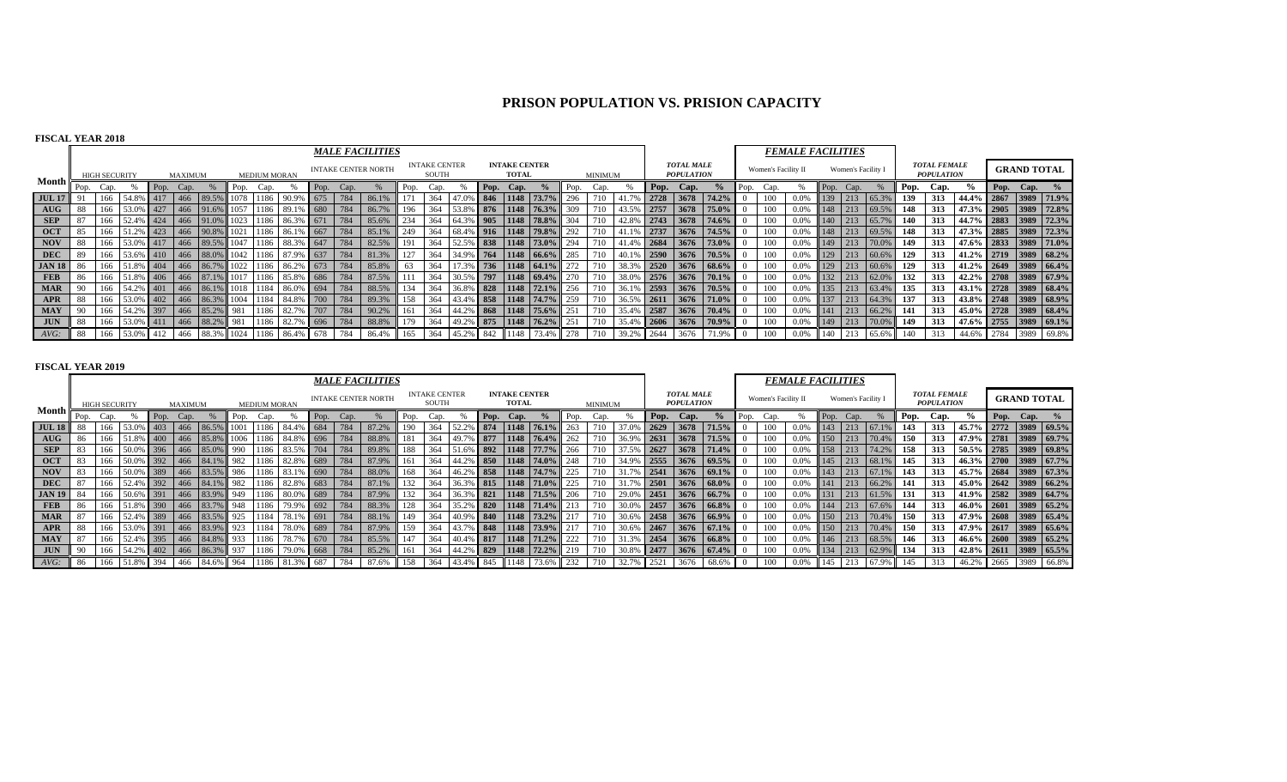# **PRISON POPULATION VS. PRISION CAPACITY**

## **FISCAL YEAR 2018**

|               |           |                      |               |           |                |                 |      |                     |                                   |      |                                                     | <b>MALE FACILITIES</b>     |      |                               |           |      |                                      |                         |      |         |            |                    |                                        |            |      |                     | <b>FEMALE FACILITIES</b> |     |                    |           |      |                                          |                         |                    |       |
|---------------|-----------|----------------------|---------------|-----------|----------------|-----------------|------|---------------------|-----------------------------------|------|-----------------------------------------------------|----------------------------|------|-------------------------------|-----------|------|--------------------------------------|-------------------------|------|---------|------------|--------------------|----------------------------------------|------------|------|---------------------|--------------------------|-----|--------------------|-----------|------|------------------------------------------|-------------------------|--------------------|-------|
|               |           | <b>HIGH SECURITY</b> |               |           | <b>MAXIMUM</b> |                 |      | <b>MEDIUM MORAN</b> |                                   |      |                                                     | <b>INTAKE CENTER NORTH</b> |      | <b>INTAKE CENTER</b><br>SOUTH |           |      | <b>INTAKE CENTER</b><br><b>TOTAL</b> |                         |      | MINIMUM |            |                    | <b>TOTAL MALE</b><br><b>POPULATION</b> |            |      | Women's Facility II |                          |     | Women's Facility I |           |      | <b>TOTAL FEMALE</b><br><b>POPULATION</b> |                         | <b>GRAND TOTAL</b> |       |
| Month i       | Pop. Cap. |                      |               | Pop. Cap. |                |                 | Pop. | Cap.                |                                   | Pop. | Cap.                                                |                            | Pop. | Cap.                          |           | Pop. | Cap.                                 |                         | Pop. | Cap.    |            | Pop.               | Cap.                                   | $\%$       | Pop. | Cap.                |                          |     | Pop. Cap.          |           | Pop. | Cap.                                     | $\%$                    | Pop. Cap.          |       |
| <b>JUL 17</b> |           | 166                  | 54.8% 417     |           | $-466$         | 89.5%           |      | 078 1186            |                                   |      | 784                                                 | 86.1%                      |      | 364                           |           |      |                                      | 47.0% 846 1148 73.7%    | 296  |         |            | 2728               | 3678                                   | 74.2%      |      |                     | 0.0%                     | 139 | 213                | 65.3°     | 139  | 313                                      | 44.4% 2867 3989 71.9%   |                    |       |
| $A\text{UG}$  | 88        | 166                  | 53.0% 427     |           |                | 466 91.6%       |      |                     | 89.                               | 680  | 784                                                 | 86.7%                      | 196  | 364                           | 53.8% 876 |      |                                      | $1148$ 76.3%            | 309  |         |            | 2757               | 3678                                   | 75.0%      |      |                     | 0.0%                     | 148 | 213                | 69.5%     | 148  | 313                                      | 47.3% 2905 3989 72.8%   |                    |       |
| <b>SEP</b>    | 87        | 166                  | 52.4% 424     |           |                |                 |      |                     | 466 91.0% 1023 1186 86.3% 671     |      |                                                     | 85.6%                      | 234  | 364                           |           |      |                                      | 64.3% 905 1148 78.8%    | 304  | 710     | 42.8% 2743 |                    | 3678                                   | 74.6%      |      | 100                 | 0.0%                     | 140 | 213                | 65.7%     | 140  | 313                                      | 44.7% 2883 3989 72.3%   |                    |       |
| <b>OCT</b>    | 85        | 166                  | 51.2% 423     |           |                |                 |      |                     | 466 90.8% 1021 1186 86.1% 667     |      | 784                                                 | 85.1%                      | 249  | 364                           |           |      |                                      | 68.4% 916 1148 79.8%    | 292  |         | $\vert$ 41 | 12737              | 3676                                   | 74.5%      |      |                     | 0.0%                     | 148 | 213                | 69.5%     | 148  | 313                                      | 47.3% 2885 3989 72.3%   |                    |       |
| <b>NOV</b>    | 88        | 166                  | 53.0% 417     |           |                |                 |      |                     | 466 89.5% 1047 1186 88.3% 647     |      | 784                                                 | 82.5%                      | 191  | 364                           |           |      |                                      | 52.5% 838 1148 73.0%    | 294  |         | 41.4% 2684 |                    | 3676                                   | 73.0%      |      |                     | 0.0%                     | 149 | 213                | 70.0%     | 149  | 313                                      | 47.6% 2833 3989 71.0%   |                    |       |
| <b>DEC</b>    |           |                      | 166 53.6% 410 |           |                |                 |      |                     | 466 88.0% 1042 1186 87.9% 637     |      | $\begin{array}{c} \hline 784 \\ \hline \end{array}$ | 81.3%                      | 127  | 364                           |           |      |                                      | $34.9\%$ 764 1148 66.6% | 285  |         | 40.1% 2590 |                    | 3676                                   | 70.5%      |      | 100-                | 0.0%                     | 129 | 213                | $60.6\%$  | 129  | 313                                      | $1.2\%$ 2719 3989 68.2% |                    |       |
| <b>JAN 18</b> | 86        | 166                  | 51.8% 404     |           |                |                 |      |                     | 466 86.7% 1022 1186 86.2% 673     |      | 784                                                 | 85.8%                      | 63   | 364                           |           |      |                                      | 17.3% 736 1148 64.1%    | 272  | 710     | 38.3% 2520 |                    |                                        | 3676 68.6% |      | 100                 | 0.0%                     | 129 |                    | 213 60.6% | 129  | 313                                      | $1.2\%$ 2649 3989 66.4% |                    |       |
| <b>FEB</b>    | 86        |                      | 166 51.8% 406 |           |                |                 |      |                     | 466 87.1% 1017 1186 85.8% 686 784 |      |                                                     | 87.5%                      |      | 364                           |           |      |                                      | 30.5% 797 1148 69.4%    | 270  | 710     | 38.0% 2576 |                    | 3676                                   | $70.1\%$   |      | 100                 | 0.0%                     | 132 |                    | 213 62.0% | 132  | 313                                      | 42.2% 2708 3989 67.9%   |                    |       |
| <b>MAR</b>    |           | 166                  | 54.2% 401     |           |                |                 |      |                     | 466 86.1% 1018 1184 86.0% 694     |      | 784                                                 | 88.5%                      | 134  | 364                           |           |      |                                      | 36.8% 828 1148 72.1%    | 256  | 710     | 36.1% 2593 |                    | 3676                                   | 70.5%      |      | 100-                | 0.0%                     | 135 |                    | 213 63.4% | 135  | 313                                      | 43.1% 2728 3989 68.4%   |                    |       |
| APR           | 88        | 166                  | 53.0% 402     |           |                |                 |      |                     | 466 86.3% 1004 1184 84.8% 700     |      | 784                                                 | 89.3%                      | 158  | 364                           |           |      |                                      | 43.4% 858 1148 74.7%    | 259  |         | 36.5%      | $\vert 2611 \vert$ | 3676                                   | 71.0%      |      |                     | 0.0%                     | 137 | 213                | 64.3%     | 137  | 313                                      | 43.8% 2748 3989 68.9%   |                    |       |
| <b>MAY</b>    |           | 166                  | 54.2% 397     |           |                | 466 85.2% 981   |      | 1186                | 82.7%                             | 707  | 784                                                 | 90.2%                      | 161  | 364                           |           |      |                                      | 44.2% 868 1148 75.6%    | 251  |         | 35.4% 2587 |                    | 3676                                   | 70.4%      |      | 100                 | 0.0%                     | 141 |                    | 213 66.2% | 141  | 313                                      | 45.0% 2728 3989 68.4%   |                    |       |
| <b>JUN</b>    | 88        | 166                  | 53.0% 411     |           | 466            | 88.2% 981       |      | 1186                | 82.7%                             | 696  | 784                                                 | 88.8%                      | 179  | 364                           |           |      |                                      | 49.2% 875 1148 76.2%    | 251  | 710     | 35.4% 2606 |                    | 3676                                   | 70.9%      |      | 100                 | 0.0%                     | 149 | 213                | 70.0%     | 149  | 313                                      | 47.6% 2755 3989 69.1%   |                    |       |
| AVG:          | 88        | 166                  | $53.0\%$ 412  |           | 466            | 88.3% 1024 1186 |      |                     | 86.4% 678                         |      | 784                                                 | 86.4%                      | 165  | 364                           | 45.2% 842 |      | 1148                                 |                         |      |         | 39.2% 2644 |                    | 3676                                   | 71.9%      |      |                     | 0.0%                     | 140 | 213                | 65.6%     | 140  | 313                                      | 44.6% 2784 3989         |                    | 69.8% |

|                                    |       |                      |           |                   |         |                                        |      |                     |                |           |      | <b>MALE FACILITIES</b>     |      |                               |                |           |                                      |                          |      |         |                |      |                                        |                          |          |                     | <b>FEMALE FACILITIES</b> |      |                    |           |      |                                          |                       |                    |                       |
|------------------------------------|-------|----------------------|-----------|-------------------|---------|----------------------------------------|------|---------------------|----------------|-----------|------|----------------------------|------|-------------------------------|----------------|-----------|--------------------------------------|--------------------------|------|---------|----------------|------|----------------------------------------|--------------------------|----------|---------------------|--------------------------|------|--------------------|-----------|------|------------------------------------------|-----------------------|--------------------|-----------------------|
|                                    |       | <b>HIGH SECURITY</b> |           |                   | MAXIMUM |                                        |      | <b>MEDIUM MORAN</b> |                |           |      | <b>INTAKE CENTER NORTH</b> |      | <b>INTAKE CENTER</b><br>SOUTH |                |           | <b>INTAKE CENTER</b><br><b>TOTAL</b> |                          |      | MINIMUM |                |      | <b>TOTAL MALE</b><br><b>POPULATION</b> |                          |          | Women's Facility II |                          |      | Women's Facility I |           |      | <b>TOTAL FEMALE</b><br><b>POPULATION</b> |                       | <b>GRAND TOTAL</b> |                       |
| Month                              | Pop.  | Cap.                 |           | Pop. Cap.         |         |                                        | Pop. | Cap.                |                | Pop.      | Cap. |                            | Pop. | L'an.                         |                | Pop.      | Cap.                                 |                          | Pop. | Cap.    |                | Pop. | Cap.                                   | $\frac{0}{2}$            | l Pop.   | Cap.                |                          | Pop. |                    |           | Pop. | Cap.                                     |                       | Pop. Cap. $\%$     |                       |
| <b>JUL 18</b> 88                   |       | 166                  | 53.09     | 403               |         | 466 86.5% 1001                         |      | 1186                | 84.4%          | 684       | 784  | 87.2%                      | 190  | 364                           |                | 874       |                                      | $1148$ 76.1%             | 263  |         | $37.0^{\circ}$ | 2629 | 3678                                   | 171.5%                   |          |                     | 0.0%                     | 143  | 213                | 67.1%     | 143  | 313                                      | 45.7%                 |                    | 2772 3989 69.5%       |
| $\mathbf{A} \mathbf{U} \mathbf{G}$ | 86    | 166                  | 51.8%     | 400               |         | 466 85.8% 1006 1186 84.8% 696          |      |                     |                |           | 1784 | 88.8%                      | 181  | 364                           | 49.7% 877      |           |                                      | $1148$ 76.4%             |      |         | 36.99          | 2631 |                                        | $3678$ 71.5%             |          | 100                 | 0.0%                     | 150  | 213                | 70.4%     | 150  | 313                                      |                       |                    | 47.9% 2781 3989 69.7% |
| <b>SEP</b>                         |       | 166                  |           |                   |         | 50.0% 396 466 85.0% 990                |      |                     | 1186 83.5% 704 |           | 784  | 89.8%                      | 188  | 364                           |                |           |                                      | $51.6\%$ 892 1148 77.7%  | 266  |         | 37.5% 2627     |      |                                        | $3678$ 71.4%             |          |                     | 0.0%                     | 158  | 213                | 74.2%     | 158  | 313                                      |                       |                    | 50.5% 2785 3989 69.8% |
| <b>OCT</b>                         | 83    | 166                  | 50.0%     |                   |         | $6$ 392 466 84.1% 982                  |      |                     | 1186 82.8%     | $6 \ 689$ | 784  | 87.9%                      | 161  | 364                           |                |           |                                      | 44.2% 850 1148 74.0%     | 248  |         | 34.9%          |      |                                        | $2555$ 3676 69.5%        |          | 100                 | 0.0%                     | 145  | 213                | 68.1%     | 145  | 313                                      | 46.3% 2700 3989 67.7% |                    |                       |
| <b>NOV</b>                         | 83    | 166                  | 50.0% 389 |                   |         | 466 83.5% 986 1186 83.1% 690           |      |                     |                |           |      | 88.0%                      | 168  | 364                           |                |           |                                      | 46.2% 858 1148 74.7%     | 225  | 710     | $31.7^{\circ}$ |      |                                        | $2541$ 3676 69.1%        |          | 100                 | 0.0%                     | 143  |                    | 213 67.1% | 143  | 313                                      |                       |                    | 45.7% 2684 3989 67.3% |
| <b>DEC</b>                         | 87    | 166                  |           |                   |         | 52.4% 392 466 84.1% 982 1186 82.8% 683 |      |                     |                |           |      | 87.1%                      | 132  | 364                           |                |           |                                      | 36.3% 815 1148 71.0%     | 225  | 710     | $\vert$ 31.    |      |                                        | $2501$ 3676 68.0%        |          | 100                 | 0.0%                     | 141  |                    | 213 66.2% | 141  | 313                                      | 45.0% 2642 3989 66.2% |                    |                       |
| <b>JAN 19</b>                      | 84    | 166                  |           |                   |         | 50.6% 391 466 83.9% 949 1186 80.0% 689 |      |                     |                |           | 784  | 87.9%                      | 132  | 364                           |                | 36.3% 821 |                                      | $1148$ 71.5%             | 206  |         | 29.0%          |      |                                        | $2451$ 3676 66.7%        |          | 100                 | 0.0%                     | 131  | $\sqrt{213}$       | 61.5%     | 131  | 313                                      |                       |                    | 41.9% 2582 3989 64.7% |
| FEB                                | 86    | 166                  | 51.8% 390 |                   |         | 466 83.7% 948                          |      | 1186                | 79.9% 692      |           | 784  | 88.3%                      | 128  | 364                           | 35.2% 820      |           |                                      | $1148$ 71.4%             | 213  |         | $30.0^{\circ}$ | 2457 |                                        | $3676$ 66.8%             |          | 100                 | 0.0%                     | 144  |                    | 213 67.6% | 144  | 313                                      |                       |                    | 46.0% 2601 3989 65.2% |
| <b>MAR</b>                         | 87    | 166                  | 52.4%     | 389               |         | 466 83.5% 925                          |      |                     | 1184 78.1% 691 |           |      | 88.1%                      | 149  | 364                           |                |           |                                      | 40.9% 840 1148 73.2%     |      |         |                |      |                                        | $30.6\%$ 2458 3676 66.9% |          | 100                 | 0.0%                     | 150  | $-1213$ 1          | 70.4%     | 150  | 313                                      |                       |                    | 47.9% 2608 3989 65.4% |
| APR                                | 88    | 166                  |           |                   |         | 53.0% 391 466 83.9% 923 1184           |      |                     | 78.0% 689      |           | 784  | 87.9%                      | 159  | 364                           |                |           |                                      | $143.7\%$ 848 1148 73.9% |      |         |                |      |                                        | $30.6\%$ 2467 3676 67.1% |          | 100                 | 0.0%                     | 150  | $-1213 -$          | 70.4%     | 150  | 313                                      |                       |                    | 47.9% 2617 3989 65.6% |
| MAY                                | 87    | 166                  | 52.4%     |                   |         | $6 \mid 395 \mid 466 \mid 84.8\% \mid$ | 933  | 1186                | 78.79          | 670       | 784  | 85.5%                      | 147  | 364                           |                |           |                                      | 40.4% 817 1148 71.2%     | 222  |         |                |      |                                        | 2454 3676 66.8%          |          |                     | 0.0%                     | 146  | 213                | 68.5%     | 146  | 313                                      |                       |                    | 46.6% 2600 3989 65.2% |
| <b>JUN</b>                         | $-90$ |                      | 166 54.2% | $6 \mid 402 \mid$ |         | 466 86.3% 937                          |      | 1186                | 79.0% 668      |           | 784  | 85.2%                      | 161  | 364                           | 44.2% 829      |           |                                      | $1148$ 72.2%             | 219  | 710     | 30.8%          | 2477 |                                        | $3676$ 67.4%             |          | 100                 | 0.0%                     | 134  | 213                | 62.9%     | 134  | 313                                      |                       |                    | 42.8% 2611 3989 65.5% |
| $AVG$ :                            | - 86  | 166                  |           |                   |         | 51.8% 394 466 84.6% 964 1186           |      |                     | 81.3% 687      |           | 784  | 87.6%                      | 158  | 364                           | 43.4% 845 1148 |           |                                      | 73.6%                    | 232  |         | 32.7%          | 2521 | 3676                                   | 68.6%                    | $\Omega$ |                     | 0.0%                     | 145  |                    | 67.9%     | 145  | 313                                      | 46.2% 2665            |                    | 3989 66.8%            |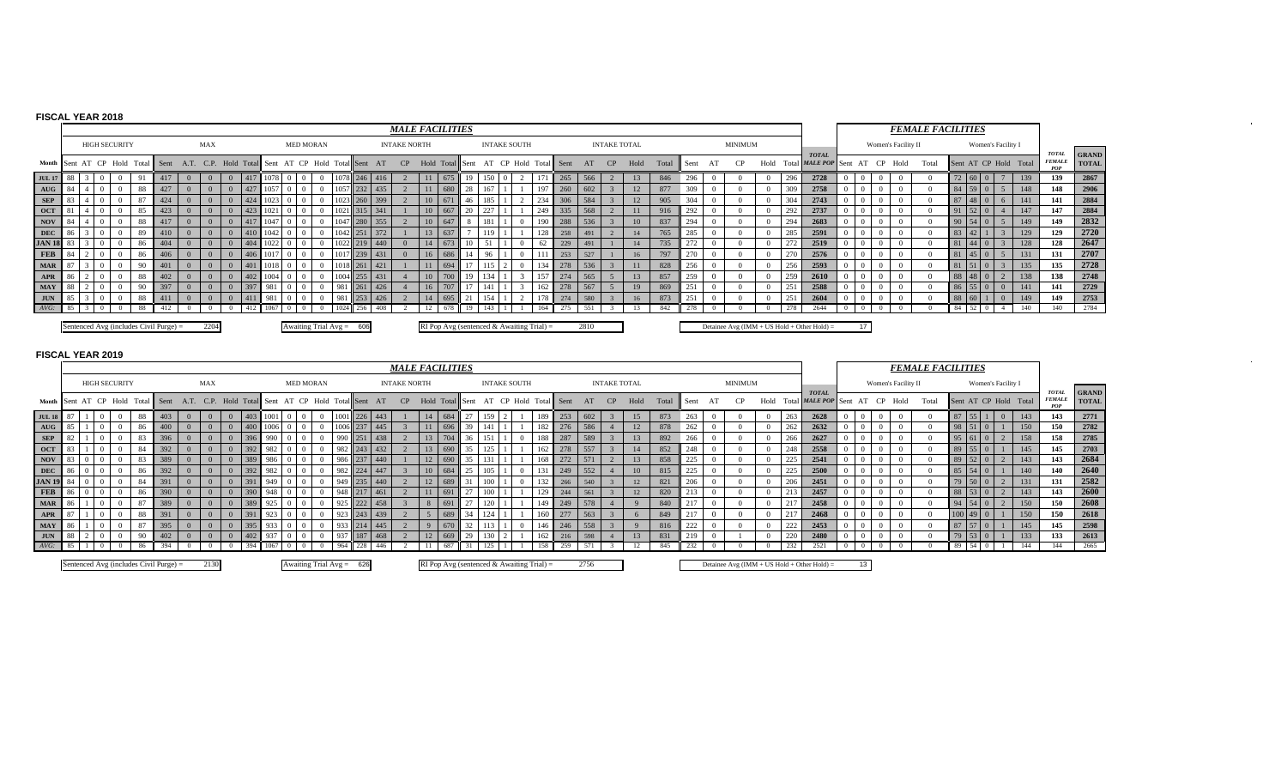# **FISCAL YEAR 2018**

|                  |      |                      |          |                                        |                                                 |     |      |          |                            |              |            |     | <b>MALE FACILITIES</b> |                  |                                           |            |     |                     |     |                       |      |                     |      |       |      |                |          |     |                                             |       |                     |      | <b>FEMALE FACILITIES</b> |       |               |                    |                       |                                      |                              |
|------------------|------|----------------------|----------|----------------------------------------|-------------------------------------------------|-----|------|----------|----------------------------|--------------|------------|-----|------------------------|------------------|-------------------------------------------|------------|-----|---------------------|-----|-----------------------|------|---------------------|------|-------|------|----------------|----------|-----|---------------------------------------------|-------|---------------------|------|--------------------------|-------|---------------|--------------------|-----------------------|--------------------------------------|------------------------------|
|                  |      | <b>HIGH SECURITY</b> |          |                                        | <b>MAX</b>                                      |     |      |          | <b>MED MORAN</b>           |              |            |     | <b>INTAKE NORTH</b>    |                  |                                           |            |     | <b>INTAKE SOUTH</b> |     |                       |      | <b>INTAKE TOTAL</b> |      |       |      | <b>MINIMUM</b> |          |     |                                             |       | Women's Facility II |      |                          |       |               | Women's Facility I |                       |                                      |                              |
| Month            |      |                      |          | Sent AT CP Hold Total Sent             | A.T. C.P. Hold Total Sent AT CP Hold Total Sent |     |      |          |                            |              |            | AT  | CP                     |                  | Hold Total                                | al I Sent- |     |                     |     | AT CP Hold Total Sent | AT   | CP                  | Hold | Total | Sent |                | Hold     |     | <b>TOTAL</b><br>Total MALE POP Sent         | AT CP |                     | Hold | Total                    |       |               |                    | Sent AT CP Hold Total | <b>TOTAL</b><br><b>FEMALE</b><br>POP | <b>GRAND</b><br><b>TOTAL</b> |
| <b>JUL 17</b>    |      |                      |          | 417                                    |                                                 | 417 |      |          | $\theta$                   | 1078 246 416 |            |     |                        |                  | 675                                       |            |     |                     |     | 265                   | 566  |                     | 13   | 846   | 296  |                | -0       | 296 | 2728                                        |       |                     |      |                          |       | 72 60 0       |                    | 139                   | 139                                  | 2867                         |
| AUG              |      |                      | 88       | 427                                    |                                                 | 427 | 1057 | $\Omega$ | $\overline{0}$             | 1057 232     |            | 435 |                        |                  | $\overline{680}$                          | 28         |     |                     |     | 260                   | 602  |                     | 12   | 877   | 309  |                | $\Omega$ | 309 | 2758                                        |       |                     |      |                          |       | 84 59 0       | $\sim$             | 148                   | 148                                  | 2906                         |
| <b>SEP</b>       |      |                      | 87       | 424                                    |                                                 | 424 |      |          | $\Omega$                   | 1023 260 399 |            |     |                        | 10               | 671                                       | 46         |     |                     | 234 | 306                   | 584  |                     | 12   | 905   | 304  |                |          |     | 2743                                        |       |                     |      |                          |       | $87 \ 48 \ 0$ | 6                  | 141                   | 141                                  | 2884                         |
| <b>OCT</b>       |      |                      | 85       | 423                                    |                                                 | 423 |      |          | $\Omega$                   |              | 315 341    |     |                        | 10 <sup>10</sup> | 667                                       | 20         |     |                     | 249 | 335                   | 568  |                     |      | 916   | 292  |                |          | 292 | 2737                                        |       |                     |      |                          |       | $91 \ 52 \ 0$ | $4 \mid$           | 147                   | 147                                  | 2884                         |
| <b>NOV</b>       |      |                      | 88       | 417                                    |                                                 | 417 | 1047 | $\Omega$ | $\Omega$                   | 1047 280 355 |            |     |                        | 10 <sup>1</sup>  | 647                                       |            |     |                     | 190 | 288                   | 536  |                     | 10   | 837   | 294  |                | $\Omega$ | 294 | 2683                                        |       |                     |      |                          | 90 54 |               | 5 <sup>7</sup>     | 149                   | 149                                  | 2832                         |
| DEC              |      |                      | -89      | 410                                    |                                                 | 410 | 1042 | $\Omega$ | $\Omega$                   | 1042 251 372 |            |     |                        |                  | 13 637                                    |            | 119 |                     | 128 | 258                   | 491  |                     | 14   | 765   | 285  |                |          | 285 | 2591                                        |       |                     |      |                          | 83 42 |               |                    | 129                   | 129                                  | 2720                         |
| <b>JAN 18</b> 83 |      |                      | -86      | 404                                    |                                                 | 404 |      |          | $\Omega$                   | 1022         | 219 440    |     |                        |                  |                                           |            |     |                     |     | 229                   | 491  |                     | 14   | 735   | 272  |                |          | 272 | 2519                                        |       |                     |      |                          | 81 44 |               |                    | 128                   | 128                                  | 2647                         |
| <b>FEB</b>       |      |                      | -86      | 406                                    |                                                 | 406 |      |          | $\Omega$                   |              | $712391 -$ | 431 |                        |                  | 686                                       |            |     |                     |     | 253                   | 527  |                     | 16   | 797   |      |                |          |     | 2576                                        |       |                     |      |                          |       |               |                    | 131                   | 131                                  | 2707                         |
| <b>MAR</b>       |      |                      | $\Omega$ | 401                                    |                                                 | 401 | 1018 |          | $\Omega$                   | 1018 261 421 |            |     |                        |                  | 1694                                      |            |     |                     |     | 278                   | 536  |                     |      | 828   | 256  |                |          | 256 | 2593                                        |       |                     |      |                          |       | $81 \ 51 \ 0$ |                    | 135                   | 135                                  | 2728                         |
| APR              |      |                      | -88      | 402                                    |                                                 |     | 1004 |          | $\Omega$                   | 1004 255     |            | 431 |                        |                  |                                           |            |     |                     |     |                       | 565  |                     | 13   | 857   | 259  |                |          | 259 | 2610                                        |       |                     |      |                          | -88   |               |                    | 138                   | 138                                  | 2748                         |
| MAY              | l 88 |                      |          | 397                                    |                                                 | 397 |      |          |                            |              | 261        | 426 |                        |                  |                                           |            |     |                     |     |                       | 567  |                     | 19   | 869   | 251  |                |          |     | 2588                                        |       |                     |      |                          |       | 86 55 0       | $\Omega$           | 141                   | 141                                  | 2729                         |
| <b>JUN</b>       |      |                      | 88       | 411                                    |                                                 |     |      |          |                            |              | $1253 -$   | 426 |                        |                  |                                           |            |     |                     |     | 274                   | 580  |                     | 16   | 873   |      |                |          |     | 2604                                        |       |                     |      |                          | 88 60 |               | $\Omega$           | 149                   | 149                                  | 2753                         |
| $AVG$ :          |      |                      | 88       |                                        |                                                 |     |      |          |                            |              | 256        | 408 |                        |                  |                                           | 19         |     |                     |     |                       | 551  |                     |      | 842   |      |                |          |     | 2644                                        |       |                     |      |                          | 84    |               |                    | 140                   | 140                                  | 2784                         |
|                  |      |                      |          | Sentenced Avg (includes Civil Purge) = | 2204                                            |     |      |          | Awaiting Trial $Avg = 606$ |              |            |     |                        |                  | RI Pop Avg (sentenced & Awaiting Trial) = |            |     |                     |     |                       | 2810 |                     |      |       |      |                |          |     | Detainee Avg (IMM + US Hold + Other Hold) = | 17    |                     |      |                          |       |               |                    |                       |                                      |                              |

 $\sim$ 

 $\sim$ 

|                                                                                     |     |  |                      |      |                                        |                |            |     |           |          |                            |                |                  |     |                | <b>MALE FACILITIES</b> |                  |                 |                                           |                     |     |            |      |                     |      |       |      |         |            |     |                                                |    |                     | <b>FEMALE FACILITIES</b> |                 |               |                    |                       |     |                                      |                              |
|-------------------------------------------------------------------------------------|-----|--|----------------------|------|----------------------------------------|----------------|------------|-----|-----------|----------|----------------------------|----------------|------------------|-----|----------------|------------------------|------------------|-----------------|-------------------------------------------|---------------------|-----|------------|------|---------------------|------|-------|------|---------|------------|-----|------------------------------------------------|----|---------------------|--------------------------|-----------------|---------------|--------------------|-----------------------|-----|--------------------------------------|------------------------------|
|                                                                                     |     |  | <b>HIGH SECURITY</b> |      |                                        |                | <b>MAX</b> |     |           |          | <b>MED MORAN</b>           |                |                  |     |                | <b>INTAKE NORTH</b>    |                  |                 |                                           | <b>INTAKE SOUTH</b> |     |            |      | <b>INTAKE TOTAL</b> |      |       |      | MINIMUM |            |     |                                                |    | Women's Facility II |                          |                 |               | Women's Facility I |                       |     |                                      |                              |
| Month Sent AT CP Hold Total Sent A.T. C.P. Hold Total Sent AT CP Hold Total Sent AT |     |  |                      |      |                                        |                |            |     |           |          |                            |                |                  |     |                | CP                     |                  | Hold Total Sent | AT CP Hold                                |                     |     | Total Sent | AT   | CP                  | Hold | Total | Sent |         | Hold       |     | <b>TOTAL</b><br>Total MALE POP Sent            |    | AT CP Hold          | Total                    |                 |               |                    | Sent AT CP Hold Total |     | <b>TOTAl</b><br><b>FEMALE</b><br>POP | <b>GRAND</b><br><b>TOTAL</b> |
| <b>JUL 18</b> 87                                                                    |     |  |                      | 88   | 403                                    |                |            |     | $403$ 100 |          |                            | $\Omega$       |                  |     | 443            |                        | 14 684           |                 |                                           |                     | 189 | 253        | 602  |                     | 15   | 873   | 263  |         | $\Omega$   | 263 | 2628                                           |    |                     |                          |                 | 87 55         |                    |                       | 143 | 143                                  | 2771                         |
| AUG                                                                                 |     |  |                      | 86   | 400                                    |                |            |     | 400 1006  |          |                            |                | 100 <sup>6</sup> |     | 237 445        |                        | 696              | 39              |                                           |                     | 182 | 276        | 586  |                     | 12   | 878   | 262  |         |            | 262 | 2632                                           |    |                     |                          |                 | 98 51         |                    |                       | 150 | 150                                  | 2782                         |
| <b>SEP</b>                                                                          | -82 |  |                      | 83   | 396                                    |                |            |     | 990       |          |                            |                | 1990             | 251 | 438            |                        | 704              | 36              |                                           |                     | 188 | 287        | 589  |                     | 13   | 892   | 266  |         |            | 266 | 2627                                           |    |                     |                          |                 | $95 \t61 \t0$ |                    |                       | 158 | 158                                  | 2785                         |
| <b>OCT</b>                                                                          |     |  |                      | -84  | 392                                    |                |            |     | 982       |          |                            |                | 982              |     | 432            |                        |                  |                 |                                           |                     | 162 | 278        |      |                     | 14   | 852   | 248  |         |            | 248 | 2558                                           |    |                     |                          | 89              |               |                    |                       | 145 | 145                                  | 2703                         |
| NOV                                                                                 |     |  |                      | 83   | 389                                    |                |            | 389 | 986       |          |                            |                | 986              |     | 237 440        |                        |                  |                 |                                           |                     | 168 | 272        |      |                     | 13   | 858   |      |         |            | 225 | 2541                                           |    |                     |                          |                 | 89 52 0       |                    |                       | 143 | 143                                  | 2684                         |
| DEC                                                                                 |     |  |                      | -86  | 392                                    | $\Omega$       |            | 397 | 982       |          |                            |                | 982              |     | 447            |                        | 684              |                 |                                           |                     |     | 249        |      |                     | 10   | 815   | 225  |         |            | 225 | 2500                                           |    |                     |                          | 85              |               |                    |                       | 140 | 140                                  | 2640                         |
| <b>JAN 19</b> 84                                                                    |     |  |                      | -84  | 391                                    |                |            |     | 949       |          |                            |                | .949             |     | $235 \mid 440$ |                        | 12   689         |                 |                                           |                     | 132 | 266        | 540  |                     | 12   | 821   |      |         |            | 206 | 2451                                           |    |                     |                          |                 |               | $\Omega$           |                       | 131 | 131                                  | 2582                         |
| <b>FEB</b> 86                                                                       |     |  |                      | 86   | 390                                    |                |            |     | 948       |          |                            |                | 948              | 217 | 461            |                        | $\frac{1691}{ }$ | 27              |                                           |                     | 129 | 244        | 561  |                     | 12   | 820   |      |         |            | 213 | 2457                                           |    |                     |                          | 88              |               |                    |                       | 143 | 143                                  | 2600                         |
| <b>MAR</b>                                                                          |     |  |                      | 87   | 389                                    |                |            | 389 |           |          |                            |                |                  | 222 | 458            |                        |                  | 27              |                                           |                     | 149 | 249        |      |                     |      | 840   |      |         |            | 217 | 2458                                           |    |                     |                          |                 |               |                    |                       | 150 | 150                                  | 2608                         |
| APR                                                                                 |     |  |                      | 88   |                                        | $\Omega$       |            |     |           |          |                            |                |                  |     | 439            |                        |                  |                 |                                           |                     |     | 277        | 563  |                     |      | 849   |      |         | $^{\circ}$ | 217 | 2468                                           |    |                     |                          | 100             |               |                    |                       | 150 | 150                                  | 2618                         |
| <b>MAY</b>                                                                          |     |  |                      | 87   | 395                                    | $\Omega$       |            |     |           |          |                            |                |                  | 214 | 445            |                        | $-670$           | 32              |                                           |                     |     | 246        | 558  |                     |      | 816   | 222  |         |            | 222 | 2453                                           |    |                     |                          | 87 <sup>1</sup> |               |                    |                       | 145 | 145                                  | 2598                         |
| $JUN$ 88                                                                            |     |  |                      | - 90 | 402                                    | $\overline{0}$ | $\Omega$   | 402 | 937       |          | $\overline{0}$             | $\overline{0}$ | 937              |     | 187 468        |                        | 669              | 29              |                                           |                     | 162 | 216        | 598  |                     | 13   | 831   |      |         | $^{\circ}$ | 220 | 2480                                           |    |                     |                          |                 | 79 53 0       |                    |                       | 133 | 133                                  | 2613                         |
| $AVG:$ 85                                                                           |     |  |                      | 86   | 394                                    | $\theta$       | $\Omega$   | 394 |           | $1067$ 0 |                            | $\Omega$       | 1964             | 228 | 446            |                        | 687              |                 |                                           |                     | 158 | 259        |      |                     |      | 845   | 232  |         |            | 232 | 2521                                           |    |                     |                          | 89              | 54            |                    |                       | 144 | 144                                  | 2665                         |
|                                                                                     |     |  |                      |      | Sentenced Avg (includes Civil Purge) = |                | 2130       |     |           |          | Awaiting Trial $Avg = 626$ |                |                  |     |                |                        |                  |                 | RI Pop Avg (sentenced & Awaiting Trial) = |                     |     |            | 2756 |                     |      |       |      |         |            |     | Detainee Avg ( $IMM + US$ Hold + Other Hold) = | 13 |                     |                          |                 |               |                    |                       |     |                                      |                              |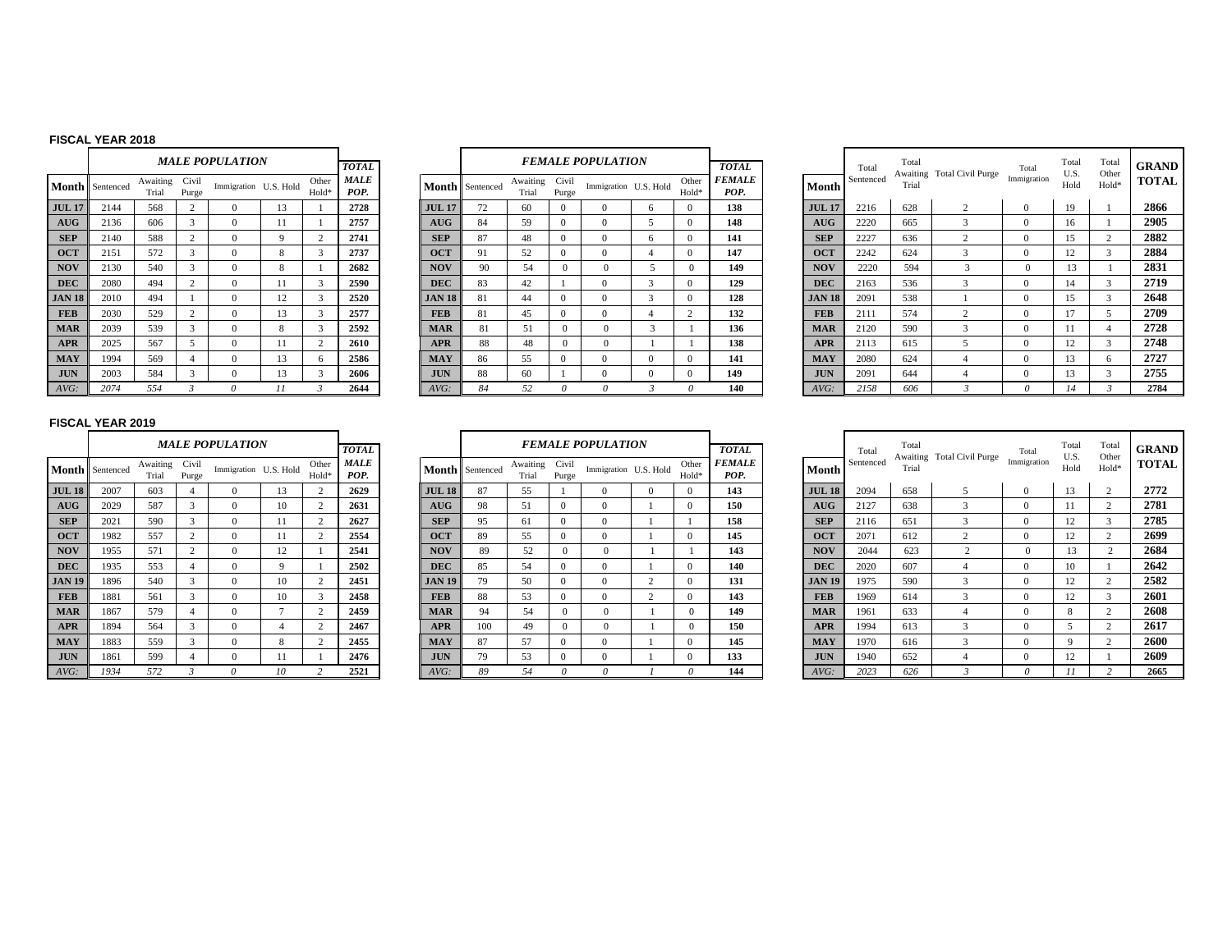#### **FISCAL YEAR 2018**

|               |           |                   |                | <i><b>MALE POPULATION</b></i> |           |                |                                     |
|---------------|-----------|-------------------|----------------|-------------------------------|-----------|----------------|-------------------------------------|
| Month         | Sentenced | Awaiting<br>Trial | Civil<br>Purge | Immigration                   | U.S. Hold | Other<br>Hold* | <b>TOTAL</b><br><b>MALE</b><br>POP. |
| <b>JUL 17</b> | 2144      | 568               | $\overline{c}$ | $\Omega$                      | 13        | 1              | 2728                                |
| AUG           | 2136      | 606               | 3              | $\Omega$                      | 11        | 1              | 2757                                |
| <b>SEP</b>    | 2140      | 588               | $\overline{c}$ | $\Omega$                      | 9         | $\overline{c}$ | 2741                                |
| <b>OCT</b>    | 2151      | 572               | 3              | $\theta$                      | 8         | 3              | 2737                                |
| <b>NOV</b>    | 2130      | 540               | 3              | $\theta$                      | 8         | 1              | 2682                                |
| <b>DEC</b>    | 2080      | 494               | $\overline{c}$ | $\Omega$                      | 11        | 3              | 2590                                |
| <b>JAN 18</b> | 2010      | 494               | 1              | $\theta$                      | 12        | 3              | 2520                                |
| <b>FEB</b>    | 2030      | 529               | $\overline{c}$ | $\Omega$                      | 13        | 3              | 2577                                |
| <b>MAR</b>    | 2039      | 539               | 3              | $\Omega$                      | 8         | 3              | 2592                                |
| <b>APR</b>    | 2025      | 567               | 5              | $\Omega$                      | 11        | $\mathfrak{2}$ | 2610                                |
| <b>MAY</b>    | 1994      | 569               | 4              | $\Omega$                      | 13        | 6              | 2586                                |
| <b>JUN</b>    | 2003      | 584               | 3              | $\Omega$                      | 13        | 3              | 2606                                |
| AVG:          | 2074      | 554               | $\mathcal{R}$  | $\theta$                      | 11        | 3              | 2644                                |

|                |                | MALE POPULATION |           |                | <b>TOTAL</b>        |               |                 |                   |                | <b>FEMALE POPULATION</b> |                |                | <b>TOTAL</b>          |
|----------------|----------------|-----------------|-----------|----------------|---------------------|---------------|-----------------|-------------------|----------------|--------------------------|----------------|----------------|-----------------------|
| ting<br>al     | Civil<br>Purge | Immigration     | U.S. Hold | Other<br>Hold* | <b>MALE</b><br>POP. |               | Month Sentenced | Awaiting<br>Trial | Civil<br>Purge | Immigration U.S. Hold    |                | Other<br>Hold* | <b>FEMALE</b><br>POP. |
| 8              | 2              | $\Omega$        | 13        | Ι.             | 2728                | <b>JUL 17</b> | 72              | 60                | $\Omega$       | $\Omega$                 | 6              | $\Omega$       | 138                   |
| 6              | 3              | $\Omega$        | 11        | 1              | 2757                | AUG           | 84              | 59                | $\Omega$       | $\Omega$                 | 5              | $\Omega$       | 148                   |
| 8              | $\overline{c}$ | $\Omega$        | 9         | 2              | 2741                | <b>SEP</b>    | 87              | 48                | $\Omega$       | $\Omega$                 | 6              | $\Omega$       | 141                   |
| $\overline{c}$ | 3              | $\Omega$        | 8         | 3              | 2737                | <b>OCT</b>    | 91              | 52                | $\Omega$       | $\Omega$                 | $\overline{4}$ | $\Omega$       | 147                   |
| $\overline{0}$ | 3              | $\Omega$        | 8         | 1              | 2682                | <b>NOV</b>    | 90              | 54                | $\mathbf{0}$   | $\theta$                 | 5              | $\mathbf{0}$   | 149                   |
| 4              | 2              | $\Omega$        | 11        | 3              | 2590                | <b>DEC</b>    | 83              | 42                |                | $\Omega$                 | 3              | $\Omega$       | 129                   |
| 4              |                | $\Omega$        | 12        | 3              | 2520                | <b>JAN 18</b> | 81              | 44                | $\Omega$       | $\Omega$                 | 3              | $\Omega$       | 128                   |
| 9              | 2              | $\Omega$        | 13        | 3              | 2577                | <b>FEB</b>    | 81              | 45                | $\mathbf{0}$   | $\Omega$                 | 4              | 2              | 132                   |
| 9              | 3              | $\Omega$        | 8         | 3              | 2592                | <b>MAR</b>    | 81              | 51                | $\Omega$       | $\Omega$                 | 3              |                | 136                   |
| 7              | 5              | $\Omega$        | 11        | 2              | 2610                | <b>APR</b>    | 88              | 48                | $\Omega$       | $\Omega$                 |                |                | 138                   |
| 9              | 4              | $\Omega$        | 13        | 6              | 2586                | <b>MAY</b>    | 86              | 55                | $\Omega$       | $\Omega$                 | $\Omega$       | $\Omega$       | 141                   |
| 4              | 3              | $\mathbf{0}$    | 13        | 3              | 2606                | <b>JUN</b>    | 88              | 60                |                | $\mathbf{0}$             | $\mathbf{0}$   | $\mathbf{0}$   | 149                   |
| 4              | 3              | 0               | 11        | 3              | 2644                | AVG:          | 84              | 52                | 0              | 0                        | 3              | $\theta$       | 140                   |

|    |                      |                   |                | <b>MALE POPULATION</b> |    |                            | <b>TOTAL</b>        |               |                 |                   |                | <b>FEMALE POPULATION</b> |                            | <b>TOTAL</b>          |               | Total     | Total | Awaiting Total Civil Purge | Total       | Total<br>U.S. | Total<br>Other | GRAND        |
|----|----------------------|-------------------|----------------|------------------------|----|----------------------------|---------------------|---------------|-----------------|-------------------|----------------|--------------------------|----------------------------|-----------------------|---------------|-----------|-------|----------------------------|-------------|---------------|----------------|--------------|
|    | <b>1th</b> Sentenced | Awaiting<br>Trial | Civil<br>Purge | Immigration U.S. Hold  |    | Other<br>Hold <sup>-</sup> | <b>MALE</b><br>POP. |               | Month Sentenced | Awaiting<br>Trial | Civil<br>Purge | Immigration U.S. Hold    | Other<br>Hold <sup>*</sup> | <b>FEMALE</b><br>POP. | <b>Month</b>  | Sentenced | Trial |                            | Immigration | Hold          | Hold*          | <b>TOTAL</b> |
| 17 | 2144                 | 568               |                |                        | 13 |                            | 2728                | <b>JUL 17</b> |                 | 60                | $\Omega$       |                          |                            | 138                   | <b>JUL 17</b> | 2216      | 628   |                            | $\Omega$    | 19            |                | 2866         |
|    | 2136                 | 606               |                | 0                      |    |                            | 2757                | AUG           | 84              | 59                | $\Omega$       |                          |                            | 148                   | <b>AUG</b>    | 2220      | 665   |                            | $\Omega$    | 16            |                | 2905         |
|    | 2140                 | 588               |                |                        |    |                            | 2741                | <b>SEP</b>    | 87              | 48                |                |                          |                            | 141                   | <b>SEP</b>    | 2227      | 636   |                            | $\Omega$    | 15            |                | 2882         |
|    | 2151                 | 572               |                | $\Omega$               |    |                            | 2737                | <b>OCT</b>    | 91              | 52                | $\Omega$       |                          | $^{\circ}$                 | 147                   | <b>OCT</b>    | 2242      | 624   |                            | $\Omega$    | 12            |                | 2884         |
|    | 2130                 | 540               |                | $\Omega$               |    |                            | 2682                | <b>NOV</b>    | 90              | 54                | $\Omega$       |                          | $^{\circ}$                 | 149                   | <b>NOV</b>    | 2220      | 594   |                            |             |               |                | 2831         |
|    | 2080                 | 494               |                |                        |    |                            | 2590                | <b>DEC</b>    | 83              | 42                |                |                          |                            | 129                   | <b>DEC</b>    | 2163      | 536   |                            |             | 14            |                | 2719         |
| 18 | 2010                 | 494               |                | $\Omega$               | 12 |                            | 2520                | <b>JAN 18</b> | 81              | 44                |                |                          |                            | 128                   | <b>JAN 18</b> | 2091      | 538   |                            |             | 15            |                | 2648         |
|    | 2030                 | 529               |                |                        | 13 |                            | 2577                | <b>FEB</b>    | 81              | 45                | $\Omega$       |                          |                            | 132                   | <b>FEB</b>    | 2111      | 574   |                            | $^{\circ}$  | 17            |                | 2709         |
|    | 2039                 | 539               |                | $\Omega$               |    |                            | 2592                | <b>MAR</b>    | $\mathbf{R}$    | 51                | $^{\circ}$     |                          |                            | 136                   | <b>MAR</b>    | 2120      | 590   |                            | $^{\circ}$  |               |                | 2728         |
|    | 2025                 | 567               |                |                        |    |                            | 2610                | <b>APR</b>    | 88              | 48                | $\Omega$       |                          |                            | 138                   | <b>APR</b>    | 2113      | 615   |                            | $\Omega$    | 12            |                | 2748         |
|    | 1994                 | 569               |                | 0                      | 13 |                            | 2586                | <b>MAY</b>    | 86              | 55                |                |                          |                            | 141                   | <b>MAY</b>    | 2080      | 624   |                            | $\Omega$    | 13            |                | 2727         |
|    | 2003                 | 584               |                | $^{\circ}$             | 13 |                            | 2606                | <b>JUN</b>    | 88              | 60                |                |                          |                            | 149                   | <b>JUN</b>    | 2091      | 644   |                            | $\Omega$    | 13            |                | 2755         |
|    | 2074                 | 554               |                |                        |    |                            | 2644                | AVG:          | 84              | 52                |                |                          |                            | 140                   | AVG:          | 2158      | 606   |                            |             |               |                | 2784         |

|               |           |                   |                | <b>MALE POPULATION</b> |           |                |                              |
|---------------|-----------|-------------------|----------------|------------------------|-----------|----------------|------------------------------|
| Month         | Sentenced | Awaiting<br>Trial | Civil<br>Purge | Immigration            | U.S. Hold | Other<br>Hold* | <b>TOTAL</b><br>MALE<br>POP. |
| <b>JUL 18</b> | 2007      | 603               | $\overline{4}$ | $\Omega$               | 13        | $\overline{c}$ | 2629                         |
| AUG           | 2029      | 587               | 3              | $\Omega$               | 10        | 2              | 2631                         |
| <b>SEP</b>    | 2021      | 590               | 3              | $\Omega$               | 11        | $\mathfrak{2}$ | 2627                         |
| <b>OCT</b>    | 1982      | 557               | $\overline{c}$ | $\Omega$               | 11        | $\overline{c}$ | 2554                         |
| <b>NOV</b>    | 1955      | 571               | $\overline{c}$ | $\Omega$               | 12        | 1              | 2541                         |
| <b>DEC</b>    | 1935      | 553               | $\overline{4}$ | $\Omega$               | 9         | 1              | 2502                         |
| <b>JAN 19</b> | 1896      | 540               | 3              | $\Omega$               | 10        | $\overline{c}$ | 2451                         |
| <b>FEB</b>    | 1881      | 561               | 3              | $\Omega$               | 10        | 3              | 2458                         |
| <b>MAR</b>    | 1867      | 579               | $\overline{4}$ | $\Omega$               | 7         | $\overline{c}$ | 2459                         |
| <b>APR</b>    | 1894      | 564               | 3              | $\Omega$               | 4         | $\mathfrak{2}$ | 2467                         |
| <b>MAY</b>    | 1883      | 559               | 3              | $\Omega$               | 8         | $\overline{c}$ | 2455                         |
| <b>JUN</b>    | 1861      | 599               | $\overline{4}$ | $\Omega$               | 11        | 1              | 2476                         |
| AVG:          | 1934      | 572               | 3              | $\theta$               | 10        | $\overline{c}$ | 2521                         |

|                   |                | <b>MALE POPULATION</b> |          |                   | <b>TOTAL</b>        |               |                        |                   |                | <b>FEMALE POPULATION</b> |                       |                | <b>TOTAL</b>          |               | Total     | Total<br>Awaiting | <b>Total Civil Purge</b> | Total        |
|-------------------|----------------|------------------------|----------|-------------------|---------------------|---------------|------------------------|-------------------|----------------|--------------------------|-----------------------|----------------|-----------------------|---------------|-----------|-------------------|--------------------------|--------------|
| Awaiting<br>Trial | Civil<br>Purge | Immigration U.S. Hold  |          | Other<br>Hold*    | <b>MALE</b><br>POP. |               | <b>Month</b> Sentenced | Awaiting<br>Trial | Civil<br>Purge |                          | Immigration U.S. Hold | Other<br>Hold* | <b>FEMALE</b><br>POP. | Month         | Sentenced | Trial             |                          | Immigration  |
| 603               | 4              |                        | 13       | $\sim$            | 2629                | <b>JUL 18</b> | 87                     | 55                |                | $\Omega$                 | $\Omega$              | $\Omega$       | 143                   | <b>JUL 18</b> | 2094      | 658               | 5                        | $\Omega$     |
| 587               | 3              | $\Omega$               | 10       |                   | 2631                | AUG           | 98                     | 51                | $\Omega$       | $\Omega$                 |                       | $\Omega$       | 150                   | AUG           | 2127      | 638               | 3                        | $\Omega$     |
| 590               | 3              | $\Omega$               |          |                   | 2627                | <b>SEP</b>    | 95                     | 61                | $\Omega$       | $\mathbf{0}$             |                       |                | 158                   | <b>SEP</b>    | 2116      | 651               | 3                        | $\Omega$     |
| 557               | 2              | $\Omega$               |          | $\sim$            | 2554                | <b>OCT</b>    | 89                     | 55                | $\mathbf{0}$   | $\mathbf{0}$             |                       | $\Omega$       | 145                   | <b>OCT</b>    | 2071      | 612               | $\mathcal{L}$            | $\mathbf{0}$ |
| 571               | $\overline{2}$ | $\Omega$               | 12       |                   | 2541                | <b>NOV</b>    | 89                     | 52                | $\Omega$       | $\Omega$                 |                       |                | 143                   | <b>NOV</b>    | 2044      | 623               | $\bigcap$                | $\Omega$     |
| 553               | 4              | $\Omega$               | $\Omega$ |                   | 2502                | <b>DEC</b>    | 85                     | 54                | $\Omega$       | $\mathbf{0}$             |                       | 0              | 140                   | <b>DEC</b>    | 2020      | 607               |                          | $\Omega$     |
| 540               | 3              | $\Omega$               | 10       | $\mathbf{\Omega}$ | 2451                | <b>JAN 19</b> | 79                     | 50                | $\Omega$       | $\theta$                 | $\Omega$              | $\Omega$       | 131                   | <b>JAN 19</b> | 1975      | 590               | 3                        | 0            |
| 561               | 3              | $\Omega$               | 10       | 3                 | 2458                | <b>FEB</b>    | 88                     | 53                | $\Omega$       | $\Omega$                 | $\overline{c}$        | $\Omega$       | 143                   | <b>FEB</b>    | 1969      | 614               | 3                        | $\Omega$     |
| 579               | $\overline{4}$ | $\Omega$               |          | $\sim$            | 2459                | <b>MAR</b>    | 94                     | 54                |                | $\Omega$                 |                       | $\Omega$       | 149                   | <b>MAR</b>    | 1961      | 633               |                          | $\theta$     |
| 564               | 3              | $\Omega$               |          | 2                 | 2467                | <b>APR</b>    | 100                    | 49                | $\Omega$       | $\mathbf{0}$             |                       | $\Omega$       | 150                   | <b>APR</b>    | 1994      | 613               | o<br>5                   | $\Omega$     |
| 559               | 3              | $\Omega$               | 8        | $\sim$            | 2455                | <b>MAY</b>    | 87                     | 57                | $\Omega$       | $\Omega$                 |                       | $\Omega$       | 145                   | <b>MAY</b>    | 1970      | 616               | 3                        | $\Omega$     |
| 599               | $\overline{4}$ | $^{(1)}$               |          |                   | 2476                | <b>JUN</b>    | 79                     | 53                | $\Omega$       | $\theta$                 |                       | $^{\circ}$     | 133                   | <b>JUN</b>    | 1940      | 652               |                          | $\Omega$     |
| 572               |                | $\theta$               | 10       |                   | 2521                | AVG:          | 89                     | 54                |                | $\theta$                 |                       | $\Omega$       | 144                   | AVG:          | 2023      | 626               |                          | $\theta$     |

|    |                      |                   |                | <b>MALE POPULATION</b> |    |                            | <b>TOTAL</b>        |               |                 |     |                   |                | <b>FEMALE POPULATION</b> |                            | <b>TOTAL</b>          |               | Total     | Total |                                        | Total | Total<br>U.S. | Total<br>Other | <b>GRAND</b> |
|----|----------------------|-------------------|----------------|------------------------|----|----------------------------|---------------------|---------------|-----------------|-----|-------------------|----------------|--------------------------|----------------------------|-----------------------|---------------|-----------|-------|----------------------------------------|-------|---------------|----------------|--------------|
|    | <b>1th</b> Sentenced | Awaiting<br>Trial | Civil<br>Purge | Immigration U.S. Hold  |    | Other<br>Hold <sup>*</sup> | <b>MALE</b><br>POP. |               | Month Sentenced |     | Awaiting<br>Trial | Civil<br>Purge | Immigration U.S. Hold    | Other<br>Hold <sup>*</sup> | <b>FEMALE</b><br>POP. | <b>Month</b>  | Sentenced | Trial | Awaiting Total Civil Purge Immigration |       | Hold          | Hold*          | <b>TOTAL</b> |
| 18 | 2007                 | 603               |                |                        | 13 |                            | 2629                | <b>JUL 18</b> | 87              |     | 55                |                |                          |                            | 143                   | <b>JUL 18</b> | 2094      | 658   |                                        |       | 13            |                | 2772         |
|    | 2029                 | 587               |                |                        | 10 |                            | 2631                | AUG           | 98              |     | 51                |                |                          |                            | 150                   | AUG           | 2127      | 638   |                                        |       |               |                | 2781         |
|    | 2021                 | 590               |                | $\Omega$               |    |                            | 2627                | <b>SEP</b>    | 95              |     | 61                |                |                          |                            | 158                   | <b>SEP</b>    | 2116      | 651   |                                        |       |               |                | 2785         |
|    | 1982                 | 557               |                | $\Omega$               |    |                            | 2554                | <b>OCT</b>    | 89              |     | 55                |                |                          |                            | 145                   | <b>OCT</b>    | 2071      | 612   |                                        |       |               |                | 2699         |
|    | 1955                 | 571               |                | $\Omega$               | 12 |                            | 2541                | <b>NOV</b>    |                 | 89  | 52                |                |                          |                            | 143                   | <b>NOV</b>    | 2044      | 623   |                                        |       | 13            |                | 2684         |
|    | 1935                 | 553               |                | $\Omega$               |    |                            | 2502                | <b>DEC</b>    | 85              |     | 54                |                |                          |                            | 140                   | <b>DEC</b>    | 2020      | 607   |                                        |       | $\Omega$      |                | 2642         |
| 19 | 1896                 | 540               |                | $\Omega$               | 10 |                            | 2451                | <b>JAN 19</b> |                 | 79  | 50                |                |                          | $^{\circ}$                 | 131                   | <b>JAN 19</b> | 1975      | 590   |                                        |       |               |                | 2582         |
|    | 1881                 | 561               |                |                        | 10 |                            | 2458                | <b>FEB</b>    | 88              |     | 53                |                |                          | $\Omega$                   | 143                   | <b>FEB</b>    | 1969      | 614   |                                        |       | 12            |                | 2601         |
|    | 1867                 | 579               |                | $\Omega$               |    |                            | 2459                | <b>MAR</b>    |                 | 94  | 54                |                | $^{\circ}$               | $^{\circ}$                 | 149                   | <b>MAR</b>    | 1961      | 633   |                                        |       |               |                | 2608         |
|    | 1894                 | 564               |                |                        |    |                            | 2467                | <b>APR</b>    |                 | 100 | 49                |                |                          |                            | 150                   | <b>APR</b>    | 1994      | 613   |                                        |       |               |                | 2617         |
|    | 1883                 | 559               |                | $\Omega$               |    |                            | 2455                | <b>MAY</b>    | 87              |     | 57                |                | $\Omega$                 | $^{\circ}$                 | 145                   | <b>MAY</b>    | 1970      | 616   |                                        |       |               |                | 2600         |
|    | 1861                 | 599               |                | $\Omega$               |    |                            | 2476                | <b>JUN</b>    |                 | 79  | 53                |                |                          |                            | 133                   | <b>JUN</b>    | 1940      | 652   |                                        |       |               |                | 2609         |
|    | 1934                 | 572               |                |                        |    |                            | 2521                | AVG:          |                 | 89  | 54                |                |                          |                            | 144                   | AVG:          | 2023      | 626   |                                        |       |               |                | 2665         |